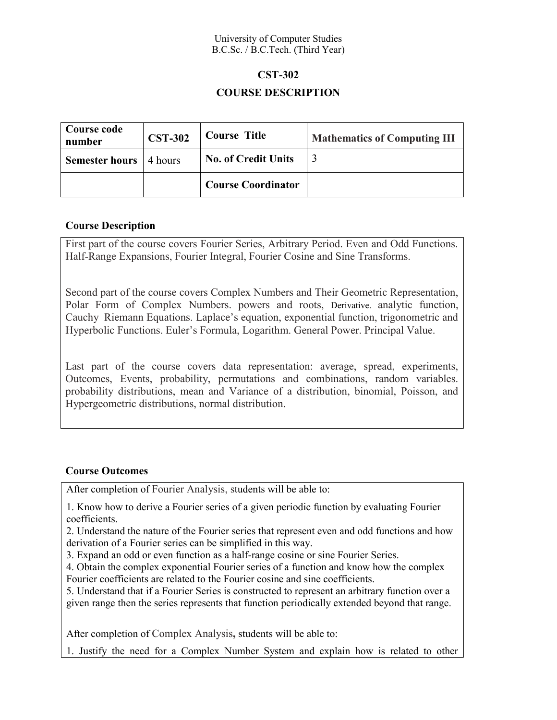#### University of Computer Studies B.C.Sc. / B.C.Tech. (Third Year)

# **CST-302 COURSE DESCRIPTION**

| Course code<br>number | <b>CST-302</b> | <b>Course Title</b>        | <b>Mathematics of Computing III</b> |
|-----------------------|----------------|----------------------------|-------------------------------------|
| Semester hours        | 4 hours        | <b>No. of Credit Units</b> |                                     |
|                       |                | <b>Course Coordinator</b>  |                                     |

# **Course Description**

First part of the course covers Fourier Series, Arbitrary Period. Even and Odd Functions. Half-Range Expansions, Fourier Integral, Fourier Cosine and Sine Transforms.

Second part of the course covers Complex Numbers and Their Geometric Representation, Polar Form of Complex Numbers. powers and roots, Derivative. analytic function, Cauchy–Riemann Equations. Laplace's equation, exponential function, trigonometric and Hyperbolic Functions. Euler's Formula, Logarithm. General Power. Principal Value.

Last part of the course covers data representation: average, spread, experiments, Outcomes, Events, probability, permutations and combinations, random variables. probability distributions, mean and Variance of a distribution, binomial, Poisson, and Hypergeometric distributions, normal distribution.

# **Course Outcomes**

After completion of Fourier Analysis, students will be able to:

1. Know how to derive a Fourier series of a given periodic function by evaluating Fourier coefficients.

2. Understand the nature of the Fourier series that represent even and odd functions and how derivation of a Fourier series can be simplified in this way.

3. Expand an odd or even function as a half-range cosine or sine Fourier Series.

4. Obtain the complex exponential Fourier series of a function and know how the complex Fourier coefficients are related to the Fourier cosine and sine coefficients.

5. Understand that if a Fourier Series is constructed to represent an arbitrary function over a given range then the series represents that function periodically extended beyond that range.

After completion of Complex Analysis**,** students will be able to:

1. Justify the need for a Complex Number System and explain how is related to other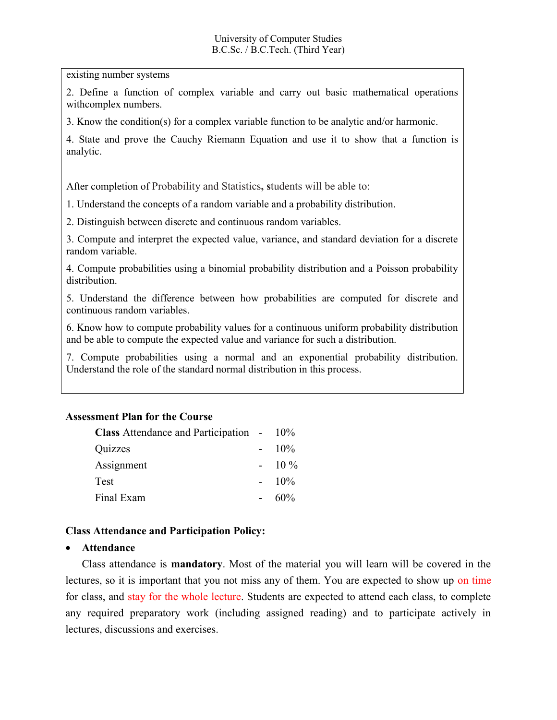existing number systems

2. Define a function of complex variable and carry out basic mathematical operations withcomplex numbers.

3. Know the condition(s) for a complex variable function to be analytic and/or harmonic.

4. State and prove the Cauchy Riemann Equation and use it to show that a function is analytic.

After completion of Probability and Statistics**, s**tudents will be able to:

1. Understand the concepts of a random variable and a probability distribution.

2. Distinguish between discrete and continuous random variables.

3. Compute and interpret the expected value, variance, and standard deviation for a discrete random variable.

4. Compute probabilities using a binomial probability distribution and a Poisson probability distribution.

5. Understand the difference between how probabilities are computed for discrete and continuous random variables.

6. Know how to compute probability values for a continuous uniform probability distribution and be able to compute the expected value and variance for such a distribution.

7. Compute probabilities using a normal and an exponential probability distribution. Understand the role of the standard normal distribution in this process.

#### **Assessment Plan for the Course**

| <b>Class</b> Attendance and Participation - 10% |         |
|-------------------------------------------------|---------|
| Quizzes                                         | $-10\%$ |
| Assignment                                      | $-10\%$ |
| Test                                            | $-10\%$ |
| Final Exam                                      | 60%     |

#### **Class Attendance and Participation Policy:**

#### **Attendance**

Class attendance is **mandatory**. Most of the material you will learn will be covered in the lectures, so it is important that you not miss any of them. You are expected to show up on time for class, and stay for the whole lecture. Students are expected to attend each class, to complete any required preparatory work (including assigned reading) and to participate actively in lectures, discussions and exercises.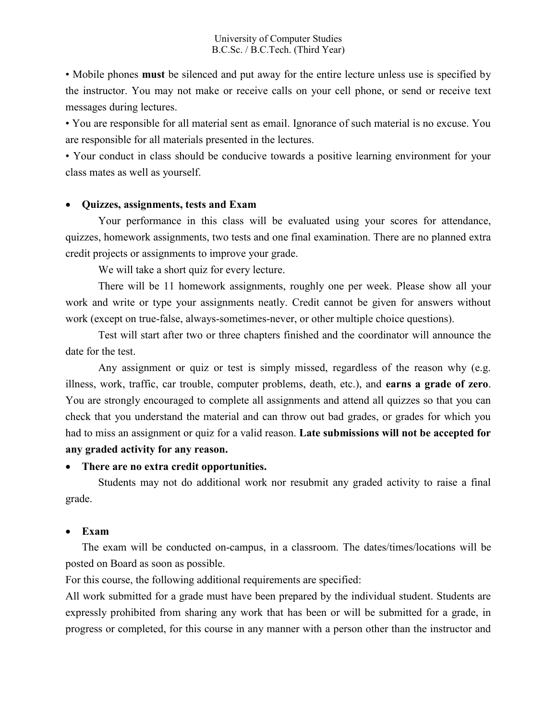• Mobile phones **must** be silenced and put away for the entire lecture unless use is specified by the instructor. You may not make or receive calls on your cell phone, or send or receive text messages during lectures.

• You are responsible for all material sent as email. Ignorance of such material is no excuse. You are responsible for all materials presented in the lectures.

• Your conduct in class should be conducive towards a positive learning environment for your class mates as well as yourself.

# **Quizzes, assignments, tests and Exam**

Your performance in this class will be evaluated using your scores for attendance, quizzes, homework assignments, two tests and one final examination. There are no planned extra credit projects or assignments to improve your grade.

We will take a short quiz for every lecture.

There will be 11 homework assignments, roughly one per week. Please show all your work and write or type your assignments neatly. Credit cannot be given for answers without work (except on true-false, always-sometimes-never, or other multiple choice questions).

Test will start after two or three chapters finished and the coordinator will announce the date for the test.

Any assignment or quiz or test is simply missed, regardless of the reason why (e.g. illness, work, traffic, car trouble, computer problems, death, etc.), and **earns a grade of zero**. You are strongly encouraged to complete all assignments and attend all quizzes so that you can check that you understand the material and can throw out bad grades, or grades for which you had to miss an assignment or quiz for a valid reason. **Late submissions will not be accepted for any graded activity for any reason.**

# **There are no extra credit opportunities.**

Students may not do additional work nor resubmit any graded activity to raise a final grade.

#### **Exam**

The exam will be conducted on-campus, in a classroom. The dates/times/locations will be posted on Board as soon as possible.

For this course, the following additional requirements are specified:

All work submitted for a grade must have been prepared by the individual student. Students are expressly prohibited from sharing any work that has been or will be submitted for a grade, in progress or completed, for this course in any manner with a person other than the instructor and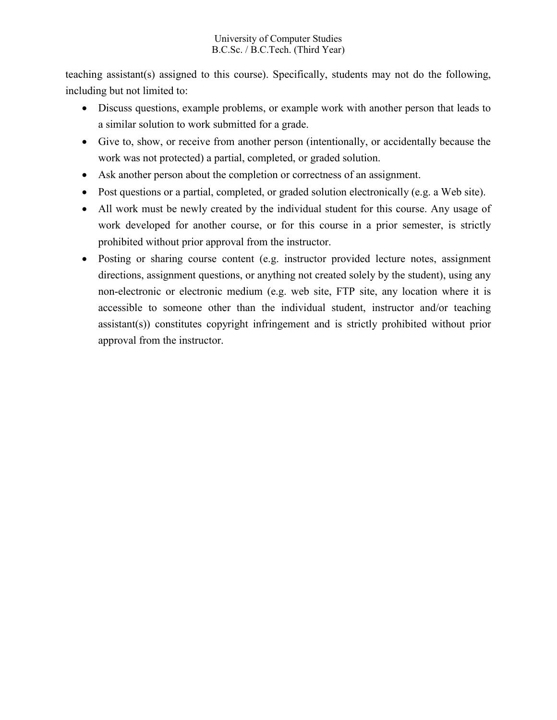# University of Computer Studies B.C.Sc. / B.C.Tech. (Third Year)

teaching assistant(s) assigned to this course). Specifically, students may not do the following, including but not limited to:

- Discuss questions, example problems, or example work with another person that leads to a similar solution to work submitted for a grade.
- Give to, show, or receive from another person (intentionally, or accidentally because the work was not protected) a partial, completed, or graded solution.
- Ask another person about the completion or correctness of an assignment.
- Post questions or a partial, completed, or graded solution electronically (e.g. a Web site).
- All work must be newly created by the individual student for this course. Any usage of work developed for another course, or for this course in a prior semester, is strictly prohibited without prior approval from the instructor.
- Posting or sharing course content (e.g. instructor provided lecture notes, assignment directions, assignment questions, or anything not created solely by the student), using any non-electronic or electronic medium (e.g. web site, FTP site, any location where it is accessible to someone other than the individual student, instructor and/or teaching assistant(s)) constitutes copyright infringement and is strictly prohibited without prior approval from the instructor.